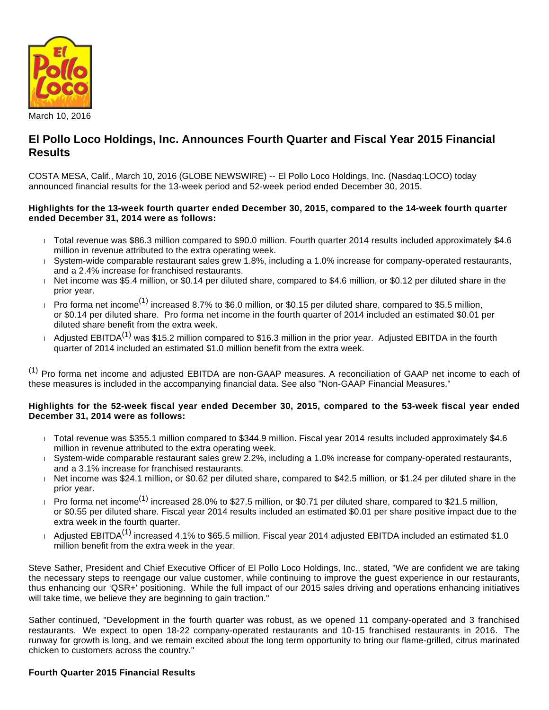

# **El Pollo Loco Holdings, Inc. Announces Fourth Quarter and Fiscal Year 2015 Financial Results**

COSTA MESA, Calif., March 10, 2016 (GLOBE NEWSWIRE) -- El Pollo Loco Holdings, Inc. (Nasdaq:LOCO) today announced financial results for the 13-week period and 52-week period ended December 30, 2015.

## **Highlights for the 13-week fourth quarter ended December 30, 2015, compared to the 14-week fourth quarter ended December 31, 2014 were as follows:**

- Total revenue was \$86.3 million compared to \$90.0 million. Fourth quarter 2014 results included approximately \$4.6 million in revenue attributed to the extra operating week.
- System-wide comparable restaurant sales grew 1.8%, including a 1.0% increase for company-operated restaurants, and a 2.4% increase for franchised restaurants.
- Net income was \$5.4 million, or \$0.14 per diluted share, compared to \$4.6 million, or \$0.12 per diluted share in the prior year.
- Pro forma net income<sup>(1)</sup> increased 8.7% to \$6.0 million, or \$0.15 per diluted share, compared to \$5.5 million, or \$0.14 per diluted share. Pro forma net income in the fourth quarter of 2014 included an estimated \$0.01 per diluted share benefit from the extra week.
- Adiusted EBITDA<sup>(1)</sup> was \$15.2 million compared to \$16.3 million in the prior year. Adjusted EBITDA in the fourth quarter of 2014 included an estimated \$1.0 million benefit from the extra week.

(1) Pro forma net income and adjusted EBITDA are non-GAAP measures. A reconciliation of GAAP net income to each of these measures is included in the accompanying financial data. See also "Non-GAAP Financial Measures."

## **Highlights for the 52-week fiscal year ended December 30, 2015, compared to the 53-week fiscal year ended December 31, 2014 were as follows:**

- Total revenue was \$355.1 million compared to \$344.9 million. Fiscal year 2014 results included approximately \$4.6 million in revenue attributed to the extra operating week.
- System-wide comparable restaurant sales grew 2.2%, including a 1.0% increase for company-operated restaurants, and a 3.1% increase for franchised restaurants.
- Net income was \$24.1 million, or \$0.62 per diluted share, compared to \$42.5 million, or \$1.24 per diluted share in the prior year.
- Pro forma net income<sup>(1)</sup> increased 28.0% to \$27.5 million, or \$0.71 per diluted share, compared to \$21.5 million, or \$0.55 per diluted share. Fiscal year 2014 results included an estimated \$0.01 per share positive impact due to the extra week in the fourth quarter.
- Adjusted EBITDA<sup>(1)</sup> increased 4.1% to \$65.5 million. Fiscal year 2014 adjusted EBITDA included an estimated \$1.0 million benefit from the extra week in the year.

Steve Sather, President and Chief Executive Officer of El Pollo Loco Holdings, Inc., stated, "We are confident we are taking the necessary steps to reengage our value customer, while continuing to improve the guest experience in our restaurants, thus enhancing our 'QSR+' positioning. While the full impact of our 2015 sales driving and operations enhancing initiatives will take time, we believe they are beginning to gain traction."

Sather continued, "Development in the fourth quarter was robust, as we opened 11 company-operated and 3 franchised restaurants. We expect to open 18-22 company-operated restaurants and 10-15 franchised restaurants in 2016. The runway for growth is long, and we remain excited about the long term opportunity to bring our flame-grilled, citrus marinated chicken to customers across the country."

# **Fourth Quarter 2015 Financial Results**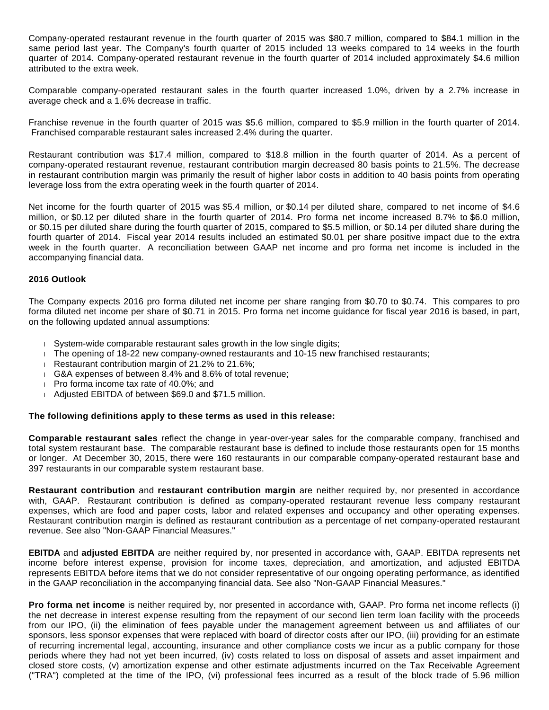Company-operated restaurant revenue in the fourth quarter of 2015 was \$80.7 million, compared to \$84.1 million in the same period last year. The Company's fourth quarter of 2015 included 13 weeks compared to 14 weeks in the fourth quarter of 2014. Company-operated restaurant revenue in the fourth quarter of 2014 included approximately \$4.6 million attributed to the extra week.

Comparable company-operated restaurant sales in the fourth quarter increased 1.0%, driven by a 2.7% increase in average check and a 1.6% decrease in traffic.

Franchise revenue in the fourth quarter of 2015 was \$5.6 million, compared to \$5.9 million in the fourth quarter of 2014. Franchised comparable restaurant sales increased 2.4% during the quarter.

Restaurant contribution was \$17.4 million, compared to \$18.8 million in the fourth quarter of 2014. As a percent of company-operated restaurant revenue, restaurant contribution margin decreased 80 basis points to 21.5%. The decrease in restaurant contribution margin was primarily the result of higher labor costs in addition to 40 basis points from operating leverage loss from the extra operating week in the fourth quarter of 2014.

Net income for the fourth quarter of 2015 was \$5.4 million, or \$0.14 per diluted share, compared to net income of \$4.6 million, or \$0.12 per diluted share in the fourth quarter of 2014. Pro forma net income increased 8.7% to \$6.0 million, or \$0.15 per diluted share during the fourth quarter of 2015, compared to \$5.5 million, or \$0.14 per diluted share during the fourth quarter of 2014. Fiscal year 2014 results included an estimated \$0.01 per share positive impact due to the extra week in the fourth quarter. A reconciliation between GAAP net income and pro forma net income is included in the accompanying financial data.

#### **2016 Outlook**

The Company expects 2016 pro forma diluted net income per share ranging from \$0.70 to \$0.74. This compares to pro forma diluted net income per share of \$0.71 in 2015. Pro forma net income guidance for fiscal year 2016 is based, in part, on the following updated annual assumptions:

- System-wide comparable restaurant sales growth in the low single digits;
- The opening of 18-22 new company-owned restaurants and 10-15 new franchised restaurants;
- Restaurant contribution margin of 21.2% to 21.6%;
- G&A expenses of between 8.4% and 8.6% of total revenue;
- Pro forma income tax rate of 40.0%; and
- Adjusted EBITDA of between \$69.0 and \$71.5 million.

#### **The following definitions apply to these terms as used in this release:**

**Comparable restaurant sales** reflect the change in year-over-year sales for the comparable company, franchised and total system restaurant base. The comparable restaurant base is defined to include those restaurants open for 15 months or longer. At December 30, 2015, there were 160 restaurants in our comparable company-operated restaurant base and 397 restaurants in our comparable system restaurant base.

**Restaurant contribution** and **restaurant contribution margin** are neither required by, nor presented in accordance with, GAAP. Restaurant contribution is defined as company-operated restaurant revenue less company restaurant expenses, which are food and paper costs, labor and related expenses and occupancy and other operating expenses. Restaurant contribution margin is defined as restaurant contribution as a percentage of net company-operated restaurant revenue. See also "Non-GAAP Financial Measures."

**EBITDA** and **adjusted EBITDA** are neither required by, nor presented in accordance with, GAAP. EBITDA represents net income before interest expense, provision for income taxes, depreciation, and amortization, and adjusted EBITDA represents EBITDA before items that we do not consider representative of our ongoing operating performance, as identified in the GAAP reconciliation in the accompanying financial data. See also "Non-GAAP Financial Measures."

**Pro forma net income** is neither required by, nor presented in accordance with, GAAP. Pro forma net income reflects (i) the net decrease in interest expense resulting from the repayment of our second lien term loan facility with the proceeds from our IPO, (ii) the elimination of fees payable under the management agreement between us and affiliates of our sponsors, less sponsor expenses that were replaced with board of director costs after our IPO, (iii) providing for an estimate of recurring incremental legal, accounting, insurance and other compliance costs we incur as a public company for those periods where they had not yet been incurred, (iv) costs related to loss on disposal of assets and asset impairment and closed store costs, (v) amortization expense and other estimate adjustments incurred on the Tax Receivable Agreement ("TRA") completed at the time of the IPO, (vi) professional fees incurred as a result of the block trade of 5.96 million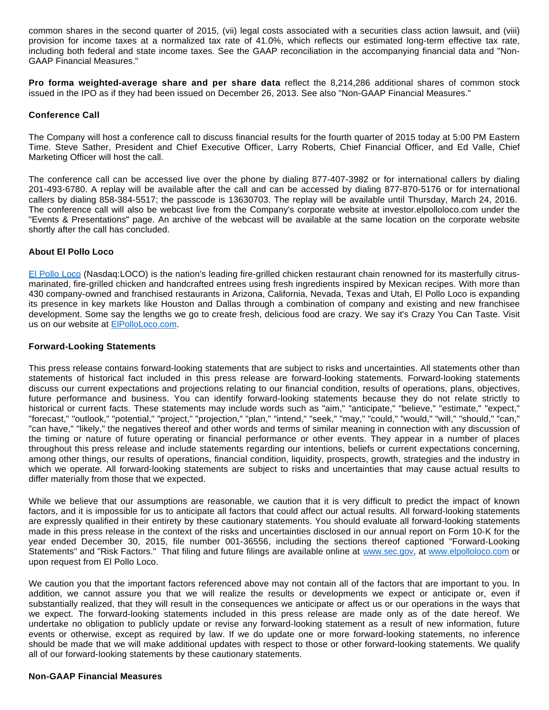common shares in the second quarter of 2015, (vii) legal costs associated with a securities class action lawsuit, and (viii) provision for income taxes at a normalized tax rate of 41.0%, which reflects our estimated long-term effective tax rate, including both federal and state income taxes. See the GAAP reconciliation in the accompanying financial data and "Non-GAAP Financial Measures."

**Pro forma weighted-average share and per share data** reflect the 8,214,286 additional shares of common stock issued in the IPO as if they had been issued on December 26, 2013. See also "Non-GAAP Financial Measures."

#### **Conference Call**

The Company will host a conference call to discuss financial results for the fourth quarter of 2015 today at 5:00 PM Eastern Time. Steve Sather, President and Chief Executive Officer, Larry Roberts, Chief Financial Officer, and Ed Valle, Chief Marketing Officer will host the call.

The conference call can be accessed live over the phone by dialing 877-407-3982 or for international callers by dialing 201-493-6780. A replay will be available after the call and can be accessed by dialing 877-870-5176 or for international callers by dialing 858-384-5517; the passcode is 13630703. The replay will be available until Thursday, March 24, 2016. The conference call will also be webcast live from the Company's corporate website at investor.elpolloloco.com under the "Events & Presentations" page. An archive of the webcast will be available at the same location on the corporate website shortly after the call has concluded.

## **About El Pollo Loco**

[El Pollo Loco](http://www.globenewswire.com/Tracker?data=IA9Bgpbb2ha76Q4DLGBoXHqK8eG5MaoyQpEwC25jQN5GR_AiyKzEHB8ZnaoVXLnNIS9c7iOubTXg87Gt9POrqoDElNa92bmXbWyzQSY6doTYPB1ZvNjPXj0sMdSM-j1f4GDSjEo3CZeN3bi1LGERei2ntgiXgPGtz78Q8WH3nEma9-AxMBzXE3MXBWpWIPjgAG2n2B0LLJs-q3ljxDCOPvFh8WMfl-UDRWeLviiSmG8=) (Nasdaq:LOCO) is the nation's leading fire-grilled chicken restaurant chain renowned for its masterfully citrusmarinated, fire-grilled chicken and handcrafted entrees using fresh ingredients inspired by Mexican recipes. With more than 430 company-owned and franchised restaurants in Arizona, California, Nevada, Texas and Utah, El Pollo Loco is expanding its presence in key markets like Houston and Dallas through a combination of company and existing and new franchisee development. Some say the lengths we go to create fresh, delicious food are crazy. We say it's Crazy You Can Taste. Visit us on our website at **[ElPolloLoco.com](http://www.globenewswire.com/Tracker?data=-tBl3Qilk6BACg0eX_7ErZyFUyIWazueQ6ctaDmBcZzRLbWXlJLvhKu4rH6YoaYezaT9FaEPAeSa7d2I9_VyOlDpgcsgFQoXSA281NPk0NUnQX2EPb3ATEOxNh6YOUy8S6TRZ7NVU-7U8kQELuMVKOA6BwrS6nNJKVxF2ZWbqR56foojT45SHHafyfFiOP23eNhh-sABwA_WN65fvcJZ_cHkO9R0f_vuSPLD_f37FZI=)**.

#### **Forward-Looking Statements**

This press release contains forward-looking statements that are subject to risks and uncertainties. All statements other than statements of historical fact included in this press release are forward-looking statements. Forward-looking statements discuss our current expectations and projections relating to our financial condition, results of operations, plans, objectives, future performance and business. You can identify forward-looking statements because they do not relate strictly to historical or current facts. These statements may include words such as "aim," "anticipate," "believe," "estimate," "expect," "forecast," "outlook," "potential," "project," "projection," "plan," "intend," "seek," "may," "could," "would," "will," "should," "can," "can have," "likely," the negatives thereof and other words and terms of similar meaning in connection with any discussion of the timing or nature of future operating or financial performance or other events. They appear in a number of places throughout this press release and include statements regarding our intentions, beliefs or current expectations concerning, among other things, our results of operations, financial condition, liquidity, prospects, growth, strategies and the industry in which we operate. All forward-looking statements are subject to risks and uncertainties that may cause actual results to differ materially from those that we expected.

While we believe that our assumptions are reasonable, we caution that it is very difficult to predict the impact of known factors, and it is impossible for us to anticipate all factors that could affect our actual results. All forward-looking statements are expressly qualified in their entirety by these cautionary statements. You should evaluate all forward-looking statements made in this press release in the context of the risks and uncertainties disclosed in our annual report on Form 10-K for the year ended December 30, 2015, file number 001-36556, including the sections thereof captioned "Forward-Looking Statements" and "Risk Factors." That filing and future filings are available online at [www.sec.gov](http://www.globenewswire.com/Tracker?data=JXBPs_BsApaZCRKCIX2jSrA7d_eg8yBbbKW9XN1hSx52iW9HGaQSIYqVgUgoEpiI0j-115XBw3lU_Mf9IPm-PQ==), at [www.elpolloloco.com](http://www.globenewswire.com/Tracker?data=DjEV3VFCKVOeROKEdWAJJwsAJIcuhZnaxWx4kIw7vXXXcovoLCWfw19oVqMD5ppTP48ixiioVlVunK12gYYTB6sxpRceumfUCEh-nwQSYKE=) or upon request from El Pollo Loco.

We caution you that the important factors referenced above may not contain all of the factors that are important to you. In addition, we cannot assure you that we will realize the results or developments we expect or anticipate or, even if substantially realized, that they will result in the consequences we anticipate or affect us or our operations in the ways that we expect. The forward-looking statements included in this press release are made only as of the date hereof. We undertake no obligation to publicly update or revise any forward-looking statement as a result of new information, future events or otherwise, except as required by law. If we do update one or more forward-looking statements, no inference should be made that we will make additional updates with respect to those or other forward-looking statements. We qualify all of our forward-looking statements by these cautionary statements.

#### **Non-GAAP Financial Measures**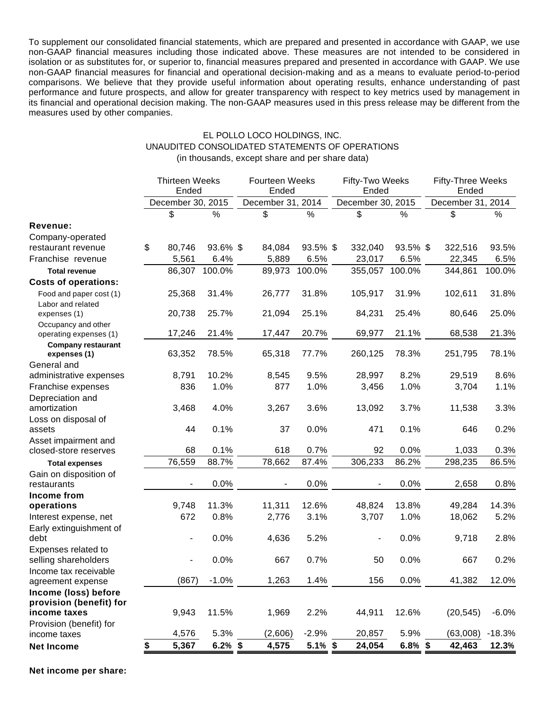To supplement our consolidated financial statements, which are prepared and presented in accordance with GAAP, we use non-GAAP financial measures including those indicated above. These measures are not intended to be considered in isolation or as substitutes for, or superior to, financial measures prepared and presented in accordance with GAAP. We use non-GAAP financial measures for financial and operational decision-making and as a means to evaluate period-to-period comparisons. We believe that they provide useful information about operating results, enhance understanding of past performance and future prospects, and allow for greater transparency with respect to key metrics used by management in its financial and operational decision making. The non-GAAP measures used in this press release may be different from the measures used by other companies.

## EL POLLO LOCO HOLDINGS, INC. UNAUDITED CONSOLIDATED STATEMENTS OF OPERATIONS (in thousands, except share and per share data)

|                                        | <b>Thirteen Weeks</b><br>Ended |           | Fourteen Weeks<br>Ended |            | Fifty-Two Weeks<br>Ended |           | <b>Fifty-Three Weeks</b><br>Ended |          |  |
|----------------------------------------|--------------------------------|-----------|-------------------------|------------|--------------------------|-----------|-----------------------------------|----------|--|
|                                        | December 30, 2015              |           | December 31, 2014       |            | December 30, 2015        |           | December 31, 2014                 |          |  |
|                                        | \$                             | %         | \$                      | $\%$       | \$                       | %         | \$                                | $\%$     |  |
| Revenue:                               |                                |           |                         |            |                          |           |                                   |          |  |
| Company-operated                       |                                |           |                         |            |                          |           |                                   |          |  |
| restaurant revenue                     | \$<br>80,746                   | 93.6% \$  | 84,084                  | 93.5% \$   | 332,040                  | 93.5% \$  | 322,516                           | 93.5%    |  |
| Franchise revenue                      | 5,561                          | 6.4%      | 5,889                   | 6.5%       | 23,017                   | 6.5%      | 22,345                            | 6.5%     |  |
| <b>Total revenue</b>                   | 86,307                         | 100.0%    | 89,973                  | 100.0%     | 355,057 100.0%           |           | 344,861                           | 100.0%   |  |
| <b>Costs of operations:</b>            |                                |           |                         |            |                          |           |                                   |          |  |
| Food and paper cost (1)                | 25,368                         | 31.4%     | 26,777                  | 31.8%      | 105,917                  | 31.9%     | 102,611                           | 31.8%    |  |
| Labor and related                      |                                |           |                         |            |                          |           |                                   |          |  |
| expenses (1)                           | 20,738                         | 25.7%     | 21,094                  | 25.1%      | 84,231                   | 25.4%     | 80,646                            | 25.0%    |  |
| Occupancy and other                    |                                |           |                         |            |                          |           |                                   |          |  |
| operating expenses (1)                 | 17,246                         | 21.4%     | 17,447                  | 20.7%      | 69,977                   | 21.1%     | 68,538                            | 21.3%    |  |
| <b>Company restaurant</b>              |                                |           |                         |            |                          |           |                                   |          |  |
| expenses (1)                           | 63,352                         | 78.5%     | 65,318                  | 77.7%      | 260,125                  | 78.3%     | 251,795                           | 78.1%    |  |
| General and<br>administrative expenses | 8,791                          | 10.2%     | 8,545                   | 9.5%       | 28,997                   | 8.2%      | 29,519                            | 8.6%     |  |
|                                        | 836                            | 1.0%      | 877                     | 1.0%       | 3,456                    | 1.0%      | 3,704                             | 1.1%     |  |
| Franchise expenses<br>Depreciation and |                                |           |                         |            |                          |           |                                   |          |  |
| amortization                           | 3,468                          | 4.0%      | 3,267                   | 3.6%       | 13,092                   | 3.7%      | 11,538                            | 3.3%     |  |
| Loss on disposal of                    |                                |           |                         |            |                          |           |                                   |          |  |
| assets                                 | 44                             | 0.1%      | 37                      | 0.0%       | 471                      | 0.1%      | 646                               | 0.2%     |  |
| Asset impairment and                   |                                |           |                         |            |                          |           |                                   |          |  |
| closed-store reserves                  | 68                             | 0.1%      | 618                     | 0.7%       | 92                       | 0.0%      | 1,033                             | 0.3%     |  |
| <b>Total expenses</b>                  | 76,559                         | 88.7%     | 78,662                  | 87.4%      | 306,233                  | 86.2%     | 298,235                           | 86.5%    |  |
| Gain on disposition of                 |                                |           |                         |            |                          |           |                                   |          |  |
| restaurants                            |                                | 0.0%      |                         | 0.0%       |                          | 0.0%      | 2,658                             | 0.8%     |  |
| Income from                            |                                |           |                         |            |                          |           |                                   |          |  |
| operations                             | 9,748                          | 11.3%     | 11,311                  | 12.6%      | 48,824                   | 13.8%     | 49,284                            | 14.3%    |  |
| Interest expense, net                  | 672                            | 0.8%      | 2,776                   | 3.1%       | 3,707                    | 1.0%      | 18,062                            | 5.2%     |  |
| Early extinguishment of                |                                |           |                         |            |                          |           |                                   |          |  |
| debt                                   |                                | 0.0%      | 4,636                   | 5.2%       | $\blacksquare$           | 0.0%      | 9,718                             | 2.8%     |  |
| Expenses related to                    |                                |           |                         |            |                          |           |                                   |          |  |
| selling shareholders                   |                                | 0.0%      | 667                     | 0.7%       | 50                       | 0.0%      | 667                               | 0.2%     |  |
| Income tax receivable                  |                                |           |                         |            |                          |           |                                   |          |  |
| agreement expense                      | (867)                          | $-1.0%$   | 1,263                   | 1.4%       | 156                      | 0.0%      | 41,382                            | 12.0%    |  |
| Income (loss) before                   |                                |           |                         |            |                          |           |                                   |          |  |
| provision (benefit) for                |                                |           |                         |            |                          |           |                                   |          |  |
| income taxes                           | 9,943                          | 11.5%     | 1,969                   | 2.2%       | 44,911                   | 12.6%     | (20, 545)                         | $-6.0%$  |  |
| Provision (benefit) for                |                                |           |                         |            |                          |           |                                   |          |  |
| income taxes                           | 4,576                          | 5.3%      | (2,606)                 | $-2.9%$    | 20,857                   | 5.9%      | (63,008)                          | $-18.3%$ |  |
| <b>Net Income</b>                      | \$<br>5,367                    | $6.2%$ \$ | 4,575                   | $5.1\%$ \$ | 24,054                   | $6.8%$ \$ | 42,463                            | 12.3%    |  |

**Net income per share:**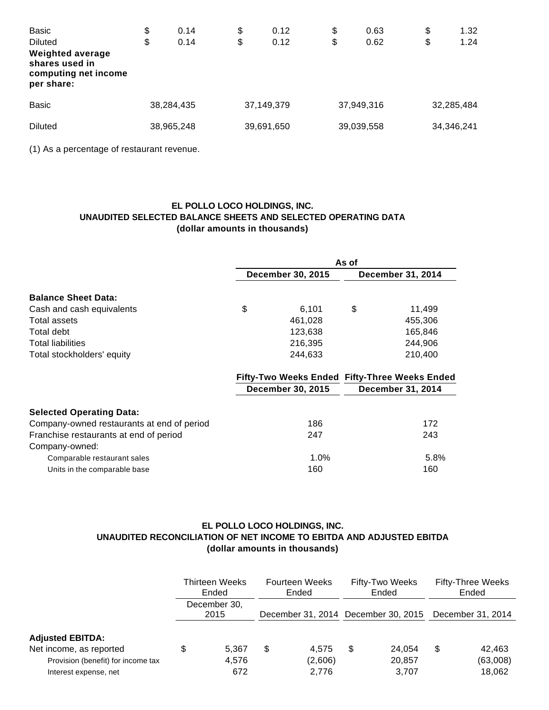| Basic<br><b>Diluted</b><br><b>Weighted average</b><br>shares used in<br>computing net income<br>per share: | \$<br>\$ | 0.14<br>0.14 | \$<br>\$   | 0.12<br>0.12 | \$<br>\$   | 0.63<br>0.62 | \$<br>\$   | 1.32<br>1.24 |
|------------------------------------------------------------------------------------------------------------|----------|--------------|------------|--------------|------------|--------------|------------|--------------|
| <b>Basic</b>                                                                                               |          | 38,284,435   | 37,149,379 |              | 37,949,316 |              | 32,285,484 |              |
| <b>Diluted</b>                                                                                             |          | 38,965,248   | 39,691,650 |              | 39,039,558 |              | 34,346,241 |              |

(1) As a percentage of restaurant revenue.

# **EL POLLO LOCO HOLDINGS, INC. UNAUDITED SELECTED BALANCE SHEETS AND SELECTED OPERATING DATA (dollar amounts in thousands)**

|                                            | As of                    |                          |                                               |  |  |  |
|--------------------------------------------|--------------------------|--------------------------|-----------------------------------------------|--|--|--|
|                                            | <b>December 30, 2015</b> | <b>December 31, 2014</b> |                                               |  |  |  |
| <b>Balance Sheet Data:</b>                 |                          |                          |                                               |  |  |  |
| Cash and cash equivalents                  | \$<br>6,101              | \$                       | 11,499                                        |  |  |  |
| Total assets                               | 461,028                  |                          | 455,306                                       |  |  |  |
| Total debt                                 | 123,638                  |                          | 165,846                                       |  |  |  |
| Total liabilities                          | 216,395                  |                          | 244,906                                       |  |  |  |
| Total stockholders' equity                 | 244,633                  |                          | 210,400                                       |  |  |  |
|                                            |                          |                          | Fifty-Two Weeks Ended Fifty-Three Weeks Ended |  |  |  |
|                                            | <b>December 30, 2015</b> |                          | <b>December 31, 2014</b>                      |  |  |  |
| <b>Selected Operating Data:</b>            |                          |                          |                                               |  |  |  |
| Company-owned restaurants at end of period | 186                      |                          | 172                                           |  |  |  |
| Franchise restaurants at end of period     | 247                      |                          | 243                                           |  |  |  |
| Company-owned:                             |                          |                          |                                               |  |  |  |
| Comparable restaurant sales                | 1.0%                     |                          | 5.8%                                          |  |  |  |
| Units in the comparable base               | 160                      |                          | 160                                           |  |  |  |

# **EL POLLO LOCO HOLDINGS, INC. UNAUDITED RECONCILIATION OF NET INCOME TO EBITDA AND ADJUSTED EBITDA (dollar amounts in thousands)**

|                                                                                                                   | Thirteen Weeks<br>Ended |                       | <b>Fourteen Weeks</b><br>Ended |                           | Fifty-Two Weeks<br>Ended |                                     | <b>Fifty-Three Weeks</b><br>Ended |                              |
|-------------------------------------------------------------------------------------------------------------------|-------------------------|-----------------------|--------------------------------|---------------------------|--------------------------|-------------------------------------|-----------------------------------|------------------------------|
|                                                                                                                   | December 30,<br>2015    |                       |                                |                           |                          | December 31, 2014 December 30, 2015 |                                   | December 31, 2014            |
| <b>Adjusted EBITDA:</b><br>Net income, as reported<br>Provision (benefit) for income tax<br>Interest expense, net | S                       | 5,367<br>4,576<br>672 | \$                             | 4,575<br>(2,606)<br>2.776 | S                        | 24.054<br>20,857<br>3,707           | \$                                | 42,463<br>(63,008)<br>18,062 |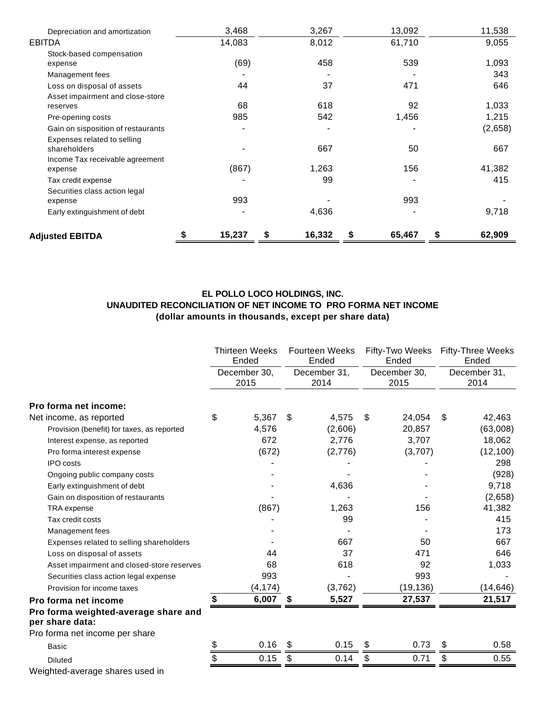| Depreciation and amortization      | 3,468        | 3,267        | 13,092       | 11,538       |
|------------------------------------|--------------|--------------|--------------|--------------|
| <b>EBITDA</b>                      | 14,083       | 8,012        | 61,710       | 9,055        |
| Stock-based compensation           |              |              |              |              |
| expense                            | (69)         | 458          | 539          | 1,093        |
| Management fees                    |              |              |              | 343          |
| Loss on disposal of assets         | 44           | 37           | 471          | 646          |
| Asset impairment and close-store   |              |              |              |              |
| reserves                           | 68           | 618          | 92           | 1,033        |
| Pre-opening costs                  | 985          | 542          | 1,456        | 1,215        |
| Gain on sisposition of restaurants |              |              |              | (2,658)      |
| Expenses related to selling        |              |              |              |              |
| shareholders                       |              | 667          | 50           | 667          |
| Income Tax receivable agreement    |              |              |              |              |
| expense                            | (867)        | 1,263        | 156          | 41,382       |
| Tax credit expense                 |              | 99           |              | 415          |
| Securities class action legal      |              |              |              |              |
| expense                            | 993          |              | 993          |              |
| Early extinguishment of debt       |              | 4,636        |              | 9,718        |
| <b>Adjusted EBITDA</b>             | \$<br>15,237 | \$<br>16,332 | \$<br>65,467 | \$<br>62,909 |

# **EL POLLO LOCO HOLDINGS, INC. UNAUDITED RECONCILIATION OF NET INCOME TO PRO FORMA NET INCOME (dollar amounts in thousands, except per share data)**

|                                                                                           | <b>Thirteen Weeks</b><br>Ended<br>December 30,<br>2015 |          | <b>Fourteen Weeks</b><br>Ended<br>December 31,<br>2014 |         | Fifty-Two Weeks<br>Ended<br>December 30,<br>2015 |           | <b>Fifty-Three Weeks</b><br>Ended<br>December 31,<br>2014 |           |
|-------------------------------------------------------------------------------------------|--------------------------------------------------------|----------|--------------------------------------------------------|---------|--------------------------------------------------|-----------|-----------------------------------------------------------|-----------|
|                                                                                           |                                                        |          |                                                        |         |                                                  |           |                                                           |           |
| Pro forma net income:                                                                     |                                                        |          |                                                        |         |                                                  |           |                                                           |           |
| Net income, as reported                                                                   | \$                                                     | 5,367    | \$                                                     | 4,575   | \$                                               | 24,054    | \$                                                        | 42,463    |
| Provision (benefit) for taxes, as reported                                                |                                                        | 4,576    |                                                        | (2,606) |                                                  | 20,857    |                                                           | (63,008)  |
| Interest expense, as reported                                                             |                                                        | 672      |                                                        | 2,776   |                                                  | 3,707     |                                                           | 18,062    |
| Pro forma interest expense                                                                |                                                        | (672)    |                                                        | (2,776) |                                                  | (3,707)   |                                                           | (12, 100) |
| <b>IPO</b> costs                                                                          |                                                        |          |                                                        |         |                                                  |           |                                                           | 298       |
| Ongoing public company costs                                                              |                                                        |          |                                                        |         |                                                  |           |                                                           | (928)     |
| Early extinguishment of debt                                                              |                                                        |          |                                                        | 4,636   |                                                  |           |                                                           | 9,718     |
| Gain on disposition of restaurants                                                        |                                                        |          |                                                        |         |                                                  |           |                                                           | (2,658)   |
| TRA expense                                                                               |                                                        | (867)    |                                                        | 1,263   |                                                  | 156       |                                                           | 41,382    |
| Tax credit costs                                                                          |                                                        |          |                                                        | 99      |                                                  |           |                                                           | 415       |
| Management fees                                                                           |                                                        |          |                                                        |         |                                                  |           |                                                           | 173       |
| Expenses related to selling shareholders                                                  |                                                        |          |                                                        | 667     |                                                  | 50        |                                                           | 667       |
| Loss on disposal of assets                                                                |                                                        | 44       |                                                        | 37      |                                                  | 471       |                                                           | 646       |
| Asset impairment and closed-store reserves                                                |                                                        | 68       |                                                        | 618     |                                                  | 92        |                                                           | 1,033     |
| Securities class action legal expense                                                     |                                                        | 993      |                                                        |         |                                                  | 993       |                                                           |           |
| Provision for income taxes                                                                |                                                        | (4, 174) |                                                        | (3,762) |                                                  | (19, 136) |                                                           | (14, 646) |
| Pro forma net income                                                                      |                                                        | 6,007    | \$                                                     | 5,527   |                                                  | 27,537    |                                                           | 21,517    |
| Pro forma weighted-average share and<br>per share data:<br>Pro forma net income per share |                                                        |          |                                                        |         |                                                  |           |                                                           |           |
|                                                                                           | \$                                                     | 0.16     | \$                                                     | 0.15    | \$                                               | 0.73      | -\$                                                       | 0.58      |
| <b>Basic</b>                                                                              |                                                        |          |                                                        |         |                                                  |           |                                                           |           |
| <b>Diluted</b>                                                                            |                                                        | 0.15     | \$                                                     | 0.14    | \$                                               | 0.71      | \$                                                        | 0.55      |
| Weighted-average shares used in                                                           |                                                        |          |                                                        |         |                                                  |           |                                                           |           |